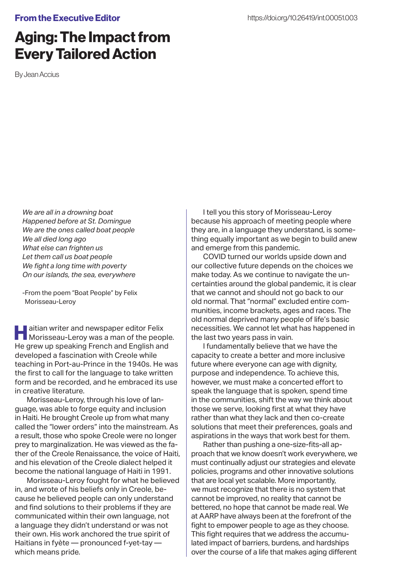## From the Executive Editor

## Aging: The Impact from Every Tailored Action

By Jean Accius

*We are all in a drowning boat Happened before at St. Domingue We are the ones called boat people We all died long ago What else can frighten us Let them call us boat people We fight a long time with poverty On our islands, the sea, everywhere*

-From the poem "Boat People" by Felix Morisseau-Leroy

**Haitian writer and newspaper editor Felix<br>Morisseau-Leroy was a man of the people.** He grew up speaking French and English and developed a fascination with Creole while teaching in Port-au-Prince in the 1940s. He was the first to call for the language to take written form and be recorded, and he embraced its use in creative literature.

Morisseau-Leroy, through his love of language, was able to forge equity and inclusion in Haiti. He brought Creole up from what many called the "lower orders" into the mainstream. As a result, those who spoke Creole were no longer prey to marginalization. He was viewed as the father of the Creole Renaissance, the voice of Haiti, and his elevation of the Creole dialect helped it become the national language of Haiti in 1991.

Morisseau-Leroy fought for what he believed in, and wrote of his beliefs only in Creole, because he believed people can only understand and find solutions to their problems if they are communicated within their own language, not a language they didn't understand or was not their own. His work anchored the true spirit of Haitians in fyète — pronounced f-yet-tay which means pride.

I tell you this story of Morisseau-Leroy because his approach of meeting people where they are, in a language they understand, is something equally important as we begin to build anew and emerge from this pandemic.

COVID turned our worlds upside down and our collective future depends on the choices we make today. As we continue to navigate the uncertainties around the global pandemic, it is clear that we cannot and should not go back to our old normal. That "normal" excluded entire communities, income brackets, ages and races. The old normal deprived many people of life's basic necessities. We cannot let what has happened in the last two years pass in vain.

I fundamentally believe that we have the capacity to create a better and more inclusive future where everyone can age with dignity, purpose and independence. To achieve this, however, we must make a concerted effort to speak the language that is spoken, spend time in the communities, shift the way we think about those we serve, looking first at what they have rather than what they lack and then co-create solutions that meet their preferences, goals and aspirations in the ways that work best for them.

Rather than pushing a one-size-fits-all approach that we know doesn't work everywhere, we must continually adjust our strategies and elevate policies, programs and other innovative solutions that are local yet scalable. More importantly, we must recognize that there is no system that cannot be improved, no reality that cannot be bettered, no hope that cannot be made real. We at AARP have always been at the forefront of the fight to empower people to age as they choose. This fight requires that we address the accumulated impact of barriers, burdens, and hardships over the course of a life that makes aging different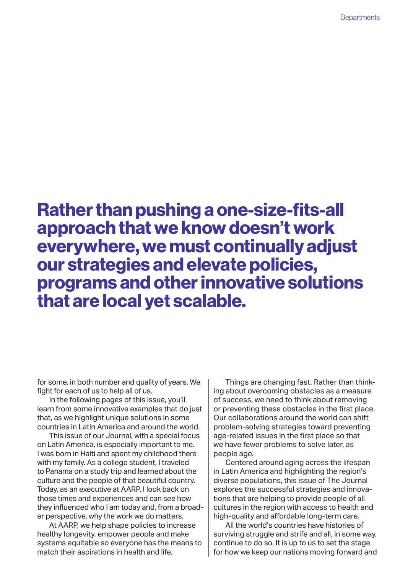## Rather than pushing a one-size-fits-all approach that we know doesn't work everywhere, we must continually adjust our strategies and elevate policies, programs and other innovative solutions that are local yet scalable.

for some, in both number and quality of years. We fight for each of us to help all of us.

In the following pages of this issue, you'll learn from some innovative examples that do just that, as we highlight unique solutions in some countries in Latin America and around the world.

This issue of our Journal, with a special focus on Latin America, is especially important to me. I was born in Haiti and spent my childhood there with my family. As a college student, I traveled to Panama on a study trip and learned about the culture and the people of that beautiful country. Today, as an executive at AARP, I look back on those times and experiences and can see how they influenced who I am today and, from a broader perspective, why the work we do matters.

At AARP, we help shape policies to increase healthy longevity, empower people and make systems equitable so everyone has the means to match their aspirations in health and life.

Things are changing fast. Rather than thinking about overcoming obstacles as a measure of success, we need to think about removing or preventing these obstacles in the first place. Our collaborations around the world can shift problem-solving strategies toward preventing age-related issues in the first place so that we have fewer problems to solve later, as people age.

Centered around aging across the lifespan in Latin America and highlighting the region's diverse populations, this issue of The Journal explores the successful strategies and innovations that are helping to provide people of all cultures in the region with access to health and high-quality and affordable long-term care.

All the world's countries have histories of surviving struggle and strife and all, in some way, continue to do so. It is up to us to set the stage for how we keep our nations moving forward and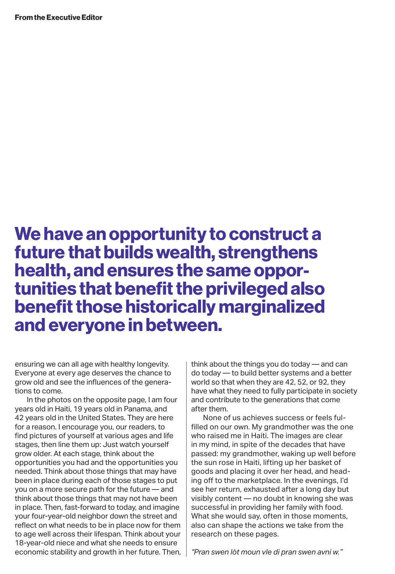## We have an opportunity to construct a future that builds wealth, strengthens health, and ensures the same opportunities that benefit the privileged also benefit those historically marginalized and everyone in between.

ensuring we can all age with healthy longevity. Everyone at every age deserves the chance to grow old and see the influences of the generations to come.

In the photos on the opposite page, I am four years old in Haiti, 19 years old in Panama, and 42 years old in the United States. They are here for a reason. I encourage you, our readers, to find pictures of yourself at various ages and life stages, then line them up: Just watch yourself grow older. At each stage, think about the opportunities you had and the opportunities you needed. Think about those things that may have been in place during each of those stages to put you on a more secure path for the future — and think about those things that may not have been in place. Then, fast-forward to today, and imagine your four-year-old neighbor down the street and reflect on what needs to be in place now for them to age well across their lifespan. Think about your 18-year-old niece and what she needs to ensure economic stability and growth in her future. Then, think about the things you do today — and can do today — to build better systems and a better world so that when they are 42, 52, or 92, they have what they need to fully participate in society and contribute to the generations that come after them.

None of us achieves success or feels fulfilled on our own. My grandmother was the one who raised me in Haiti. The images are clear in my mind, in spite of the decades that have passed: my grandmother, waking up well before the sun rose in Haiti, lifting up her basket of goods and placing it over her head, and heading off to the marketplace. In the evenings, I'd see her return, exhausted after a long day but visibly content — no doubt in knowing she was successful in providing her family with food. What she would say, often in those moments, also can shape the actions we take from the research on these pages.

*"Pran swen lòt moun vle di pran swen avni w."*